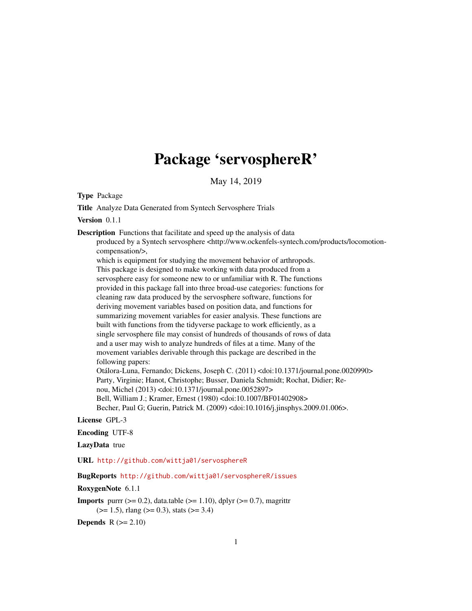# Package 'servosphereR'

May 14, 2019

Type Package

Title Analyze Data Generated from Syntech Servosphere Trials

Version 0.1.1

Description Functions that facilitate and speed up the analysis of data

produced by a Syntech servosphere <http://www.ockenfels-syntech.com/products/locomotioncompensation/>,

which is equipment for studying the movement behavior of arthropods. This package is designed to make working with data produced from a servosphere easy for someone new to or unfamiliar with R. The functions provided in this package fall into three broad-use categories: functions for cleaning raw data produced by the servosphere software, functions for deriving movement variables based on position data, and functions for summarizing movement variables for easier analysis. These functions are built with functions from the tidyverse package to work efficiently, as a single servosphere file may consist of hundreds of thousands of rows of data and a user may wish to analyze hundreds of files at a time. Many of the movement variables derivable through this package are described in the following papers: Otálora-Luna, Fernando; Dickens, Joseph C. (2011) <doi:10.1371/journal.pone.0020990> Party, Virginie; Hanot, Christophe; Busser, Daniela Schmidt; Rochat, Didier; Re-

nou, Michel (2013) <doi:10.1371/journal.pone.0052897>

Bell, William J.; Kramer, Ernest (1980) <doi:10.1007/BF01402908> Becher, Paul G; Guerin, Patrick M. (2009) <doi:10.1016/j.jinsphys.2009.01.006>.

### License GPL-3

Encoding UTF-8

LazyData true

URL <http://github.com/wittja01/servosphereR>

#### BugReports <http://github.com/wittja01/servosphereR/issues>

RoxygenNote 6.1.1

**Imports** purrr  $(>= 0.2)$ , data.table  $(>= 1.10)$ , dplyr  $(>= 0.7)$ , magrittr  $(>= 1.5)$ , rlang  $(>= 0.3)$ , stats  $(>= 3.4)$ 

Depends  $R (= 2.10)$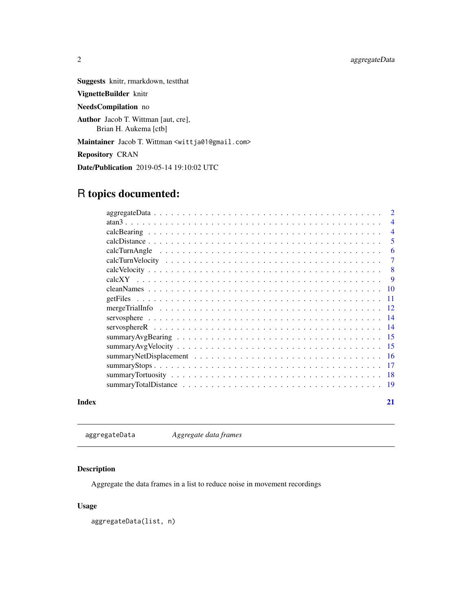<span id="page-1-0"></span>Suggests knitr, rmarkdown, testthat

VignetteBuilder knitr

NeedsCompilation no

Author Jacob T. Wittman [aut, cre], Brian H. Aukema [ctb]

Maintainer Jacob T. Wittman <wittja01@gmail.com>

Repository CRAN

Date/Publication 2019-05-14 19:10:02 UTC

## R topics documented:

|       | <sup>2</sup>   |
|-------|----------------|
|       | $\overline{4}$ |
|       | $\overline{4}$ |
|       | 5              |
|       | 6              |
|       | $\overline{7}$ |
|       | 8              |
|       |                |
|       |                |
|       |                |
|       |                |
|       |                |
|       |                |
|       |                |
|       |                |
|       |                |
|       |                |
|       |                |
|       |                |
| Index | 21             |

aggregateData *Aggregate data frames*

#### Description

Aggregate the data frames in a list to reduce noise in movement recordings

#### Usage

aggregateData(list, n)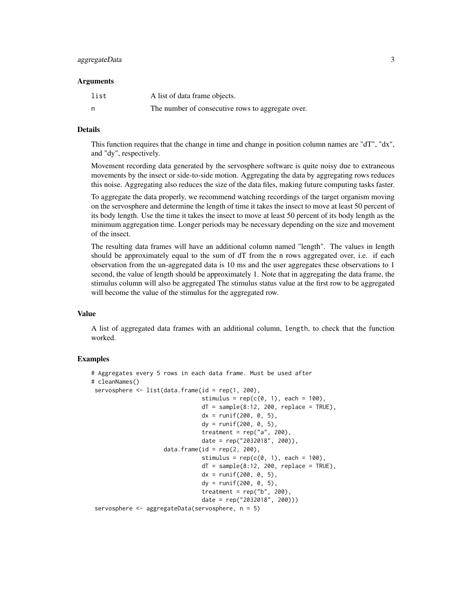#### aggregateData 3

#### Arguments

| list | A list of data frame objects.                     |
|------|---------------------------------------------------|
| n    | The number of consecutive rows to aggregate over. |

#### Details

This function requires that the change in time and change in position column names are "dT", "dx", and "dy", respectively.

Movement recording data generated by the servosphere software is quite noisy due to extraneous movements by the insect or side-to-side motion. Aggregating the data by aggregating rows reduces this noise. Aggregating also reduces the size of the data files, making future computing tasks faster.

To aggregate the data properly, we recommend watching recordings of the target organism moving on the servosphere and determine the length of time it takes the insect to move at least 50 percent of its body length. Use the time it takes the insect to move at least 50 percent of its body length as the minimum aggregation time. Longer periods may be necessary depending on the size and movement of the insect.

The resulting data frames will have an additional column named "length". The values in length should be approximately equal to the sum of dT from the n rows aggregated over, i.e. if each observation from the un-aggregated data is 10 ms and the user aggregates these observations to 1 second, the value of length should be approximately 1. Note that in aggregating the data frame, the stimulus column will also be aggregated The stimulus status value at the first row to be aggregated will become the value of the stimulus for the aggregated row.

#### Value

A list of aggregated data frames with an additional column, length, to check that the function worked.

#### Examples

```
# Aggregates every 5 rows in each data frame. Must be used after
# cleanNames()
servosphere <- list(data.frame(id = rep(1, 200),
                                stimulus = rep(c(0, 1), each = 100),
                                dT = sample(8:12, 200, replace = TRUE),dx = runif(200, 0, 5),
                                dy = runif(200, 0, 5),treatment = rep("a", 200),
                                date = rep("2032018", 200)),
                     data.frame(id = rep(2, 200),
                                stimulus = rep(c(0, 1), each = 100),
                                dT = sample(8:12, 200, replace = TRUE),dx = runif(200, 0, 5),dy = runif(200, 0, 5),
                                treatment = rep("b", 200),
                                date = rep("2032018", 200)))
servosphere <- aggregateData(servosphere, n = 5)
```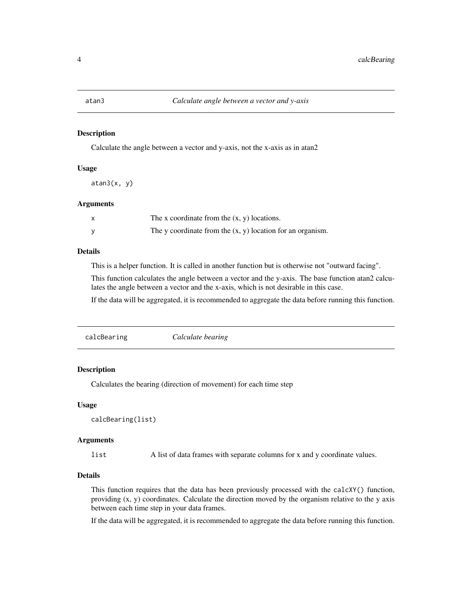#### <span id="page-3-0"></span>Description

Calculate the angle between a vector and y-axis, not the x-axis as in atan2

#### Usage

 $atan3(x, y)$ 

#### Arguments

| X | The x coordinate from the $(x, y)$ locations.                |
|---|--------------------------------------------------------------|
|   | The y coordinate from the $(x, y)$ location for an organism. |

#### Details

This is a helper function. It is called in another function but is otherwise not "outward facing".

This function calculates the angle between a vector and the y-axis. The base function atan2 calculates the angle between a vector and the x-axis, which is not desirable in this case.

If the data will be aggregated, it is recommended to aggregate the data before running this function.

| Calculate bearing<br>calcBearing |
|----------------------------------|
|----------------------------------|

### Description

Calculates the bearing (direction of movement) for each time step

#### Usage

```
calcBearing(list)
```
#### Arguments

list A list of data frames with separate columns for x and y coordinate values.

#### Details

This function requires that the data has been previously processed with the calcXY() function, providing (x, y) coordinates. Calculate the direction moved by the organism relative to the y axis between each time step in your data frames.

If the data will be aggregated, it is recommended to aggregate the data before running this function.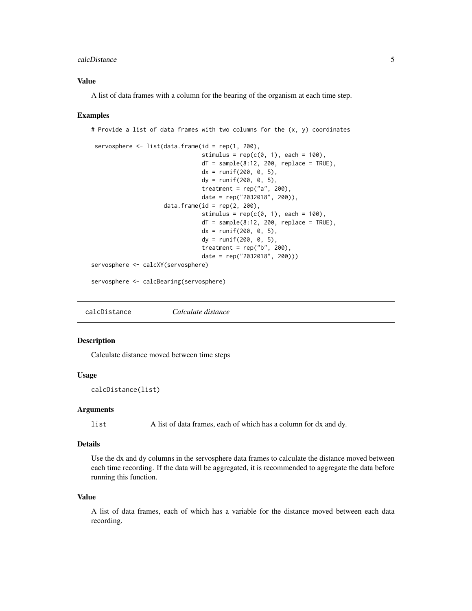#### <span id="page-4-0"></span>calcDistance 5

#### Value

A list of data frames with a column for the bearing of the organism at each time step.

#### Examples

```
# Provide a list of data frames with two columns for the (x, y) coordinates
```

```
servosphere \leq list(data.frame(id = rep(1, 200),
                                stimulus = rep(c(0, 1), each = 100),
                                dT = sample(8:12, 200, replace = TRUE),dx = runif(200, 0, 5),dy = runif(200, 0, 5),treatment = rep("a", 200),
                                date = rep("2032018", 200)),
                     data.frame(id = rep(2, 200),
                                stimulus = rep(c(\emptyset, 1), each = 100),
                                dT = sample(8:12, 200, replace = TRUE),dx = runif(200, 0, 5),dy = runif(200, 0, 5),
                                treatment = rep("b", 200),
                                date = rep("2032018", 200)))
servosphere <- calcXY(servosphere)
```
servosphere <- calcBearing(servosphere)

calcDistance *Calculate distance*

#### Description

Calculate distance moved between time steps

#### Usage

calcDistance(list)

#### Arguments

list A list of data frames, each of which has a column for dx and dy.

#### Details

Use the dx and dy columns in the servosphere data frames to calculate the distance moved between each time recording. If the data will be aggregated, it is recommended to aggregate the data before running this function.

#### Value

A list of data frames, each of which has a variable for the distance moved between each data recording.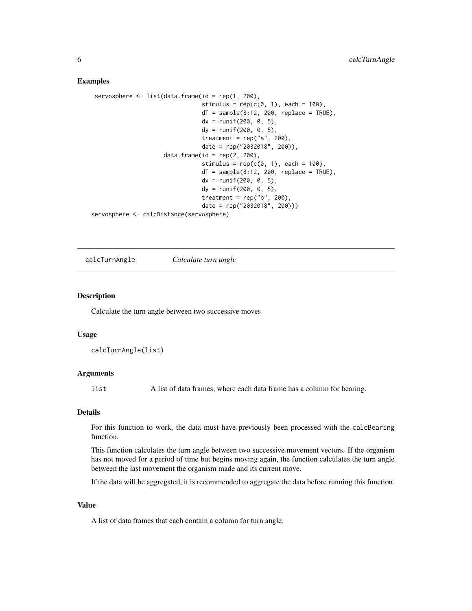#### Examples

```
servosphere \leq list(data.frame(id = rep(1, 200),
                                stimulus = rep(c(0, 1), each = 100),
                                dT = sample(8:12, 200, replace = TRUE),dx = runif(200, 0, 5),dy = runif(200, 0, 5),treatment = rep("a", 200),
                                date = rep("2032018", 200)),
                     data.frame(id = rep(2, 200),
                                stimulus = rep(c(\emptyset, 1), each = 100),
                                dT = sample(8:12, 200, replace = TRUE),dx = runif(200, 0, 5),dy = runif(200, 0, 5),treatment = rep("b", 200),
                                date = rep("2032018", 200)))
servosphere <- calcDistance(servosphere)
```
calcTurnAngle *Calculate turn angle*

#### Description

Calculate the turn angle between two successive moves

#### Usage

calcTurnAngle(list)

#### Arguments

list A list of data frames, where each data frame has a column for bearing.

#### Details

For this function to work, the data must have previously been processed with the calcBearing function.

This function calculates the turn angle between two successive movement vectors. If the organism has not moved for a period of time but begins moving again, the function calculates the turn angle between the last movement the organism made and its current move.

If the data will be aggregated, it is recommended to aggregate the data before running this function.

#### Value

A list of data frames that each contain a column for turn angle.

<span id="page-5-0"></span>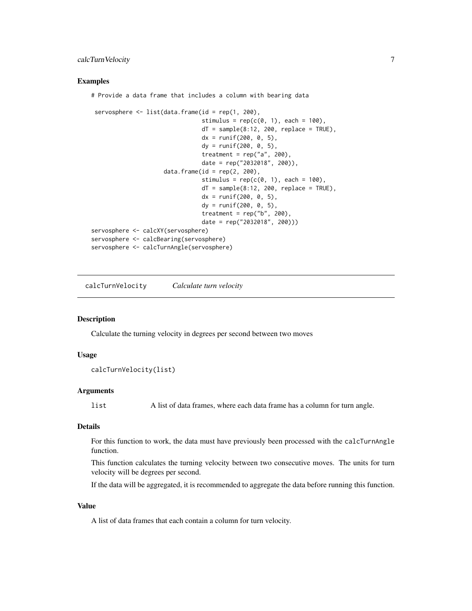#### <span id="page-6-0"></span>calcTurnVelocity 7

#### Examples

# Provide a data frame that includes a column with bearing data

```
servosphere <- list(data.frame(id = rep(1, 200),
                                stimulus = rep(c(0, 1), each = 100),
                                dT = sample(8:12, 200, replace = TRUE),dx = runif(200, 0, 5),dy = runif(200, 0, 5),treatment = rep("a", 200),
                                date = rep("2032018", 200)),
                     data.frame(id = rep(2, 200),
                                stimulus = rep(c(\emptyset, 1), each = 100),
                                dT = sample(8:12, 200, replace = TRUE),dx = runif(200, 0, 5),dy = runif(200, 0, 5),treatment = rep("b", 200),
                                date = rep("2032018", 200)))
servosphere <- calcXY(servosphere)
servosphere <- calcBearing(servosphere)
servosphere <- calcTurnAngle(servosphere)
```
calcTurnVelocity *Calculate turn velocity*

#### Description

Calculate the turning velocity in degrees per second between two moves

#### Usage

```
calcTurnVelocity(list)
```
#### Arguments

list A list of data frames, where each data frame has a column for turn angle.

#### Details

For this function to work, the data must have previously been processed with the calcTurnAngle function.

This function calculates the turning velocity between two consecutive moves. The units for turn velocity will be degrees per second.

If the data will be aggregated, it is recommended to aggregate the data before running this function.

#### Value

A list of data frames that each contain a column for turn velocity.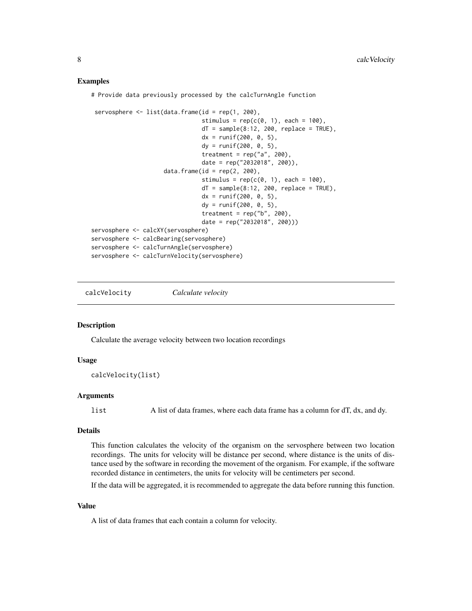#### Examples

# Provide data previously processed by the calcTurnAngle function

```
servosphere \leq list(data.frame(id = rep(1, 200),
                                stimulus = rep(c(0, 1), each = 100),
                                dT = sample(8:12, 200, replace = TRUE),dx = runif(200, 0, 5),dy = runif(200, 0, 5),
                                treatment = rep("a", 200),
                                date = rep("2032018", 200)),
                     data.frame(id = rep(2, 200),
                                stimulus = rep(c(0, 1), each = 100),
                                dT = sample(8:12, 200, replace = TRUE),dx = runif(200, 0, 5),
                                dy = runif(200, 0, 5),treatment = rep("b", 200),
                                date = rep("2032018", 200)))
servosphere <- calcXY(servosphere)
servosphere <- calcBearing(servosphere)
servosphere <- calcTurnAngle(servosphere)
servosphere <- calcTurnVelocity(servosphere)
```
calcVelocity *Calculate velocity*

#### Description

Calculate the average velocity between two location recordings

#### Usage

calcVelocity(list)

#### Arguments

list A list of data frames, where each data frame has a column for dT, dx, and dy.

#### Details

This function calculates the velocity of the organism on the servosphere between two location recordings. The units for velocity will be distance per second, where distance is the units of distance used by the software in recording the movement of the organism. For example, if the software recorded distance in centimeters, the units for velocity will be centimeters per second.

If the data will be aggregated, it is recommended to aggregate the data before running this function.

#### Value

A list of data frames that each contain a column for velocity.

<span id="page-7-0"></span>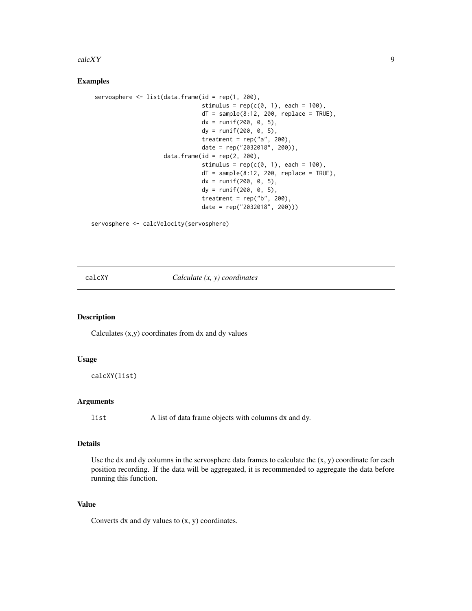#### <span id="page-8-0"></span> $\alpha$  and  $\alpha$  9

#### Examples

```
servosphere <- list(data.frame(id = rep(1, 200),
                               stimulus = rep(c(0, 1), each = 100),
                               dT = sample(8:12, 200, replace = TRUE),dx = runif(200, 0, 5),dy = runif(200, 0, 5),
                               treatment = rep("a", 200),
                               date = rep("2032018", 200)),
                    data.frame(id = rep(2, 200),
                               stimulus = rep(c(0, 1), each = 100),
                               dT = sample(8:12, 200, replace = TRUE),dx = runif(200, 0, 5),dy = runif(200, 0, 5),
                               treatment = rep("b", 200),
                               date = rep("2032018", 200)))
```
servosphere <- calcVelocity(servosphere)

calcXY *Calculate (x, y) coordinates*

#### Description

Calculates (x,y) coordinates from dx and dy values

#### Usage

calcXY(list)

#### Arguments

list A list of data frame objects with columns dx and dy.

#### Details

Use the dx and dy columns in the servosphere data frames to calculate the  $(x, y)$  coordinate for each position recording. If the data will be aggregated, it is recommended to aggregate the data before running this function.

#### Value

Converts  $dx$  and  $dy$  values to  $(x, y)$  coordinates.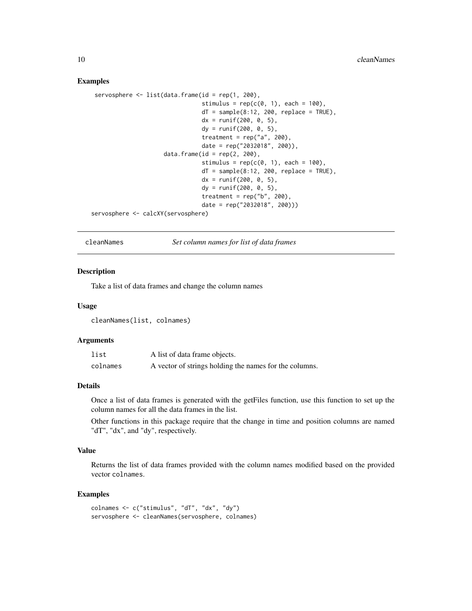#### Examples

```
servosphere <- list(data.frame(id = rep(1, 200),
                                 stimulus = rep(c(\emptyset, 1), each = 100),
                                 dT = sample(8:12, 200, replace = TRUE),dx = runif(200, 0, 5),
                                 dy = runif(200, 0, 5),
                                 treatment = rep("a", 200),
                                 date = rep("2032018", 200)),
                     data.frame(id = rep(2, 200),
                                 stimulus = rep(c(\emptyset, 1), each = 100),
                                 dT = sample(8:12, 200, replace = TRUE),dx = runif(200, 0, 5),dy = runif(200, 0, 5),
                                 treatment = rep("b", 200),
                                 date = rep("2032018", 200)))
servosphere <- calcXY(servosphere)
```
cleanNames *Set column names for list of data frames*

#### Description

Take a list of data frames and change the column names

#### Usage

cleanNames(list, colnames)

#### Arguments

| list     | A list of data frame objects.                          |
|----------|--------------------------------------------------------|
| colnames | A vector of strings holding the names for the columns. |

#### Details

Once a list of data frames is generated with the getFiles function, use this function to set up the column names for all the data frames in the list.

Other functions in this package require that the change in time and position columns are named "dT", "dx", and "dy", respectively.

#### Value

Returns the list of data frames provided with the column names modified based on the provided vector colnames.

#### Examples

```
colnames <- c("stimulus", "dT", "dx", "dy")
servosphere <- cleanNames(servosphere, colnames)
```
<span id="page-9-0"></span>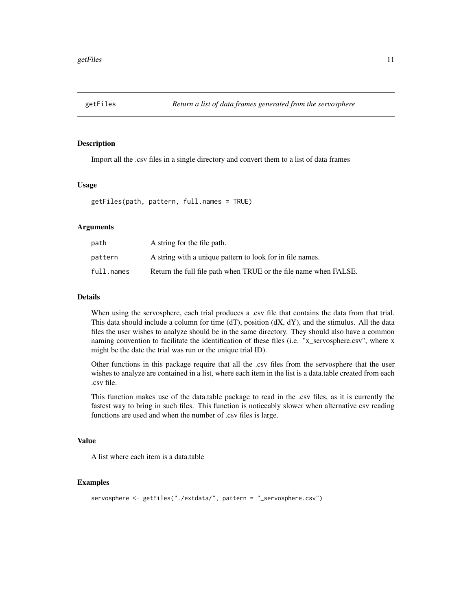<span id="page-10-0"></span>

#### Description

Import all the .csv files in a single directory and convert them to a list of data frames

#### Usage

getFiles(path, pattern, full.names = TRUE)

#### **Arguments**

| path       | A string for the file path.                                      |
|------------|------------------------------------------------------------------|
| pattern    | A string with a unique pattern to look for in file names.        |
| full.names | Return the full file path when TRUE or the file name when FALSE. |

#### Details

When using the servosphere, each trial produces a .csv file that contains the data from that trial. This data should include a column for time (dT), position (dX, dY), and the stimulus. All the data files the user wishes to analyze should be in the same directory. They should also have a common naming convention to facilitate the identification of these files (i.e. "x\_servosphere.csv", where x might be the date the trial was run or the unique trial ID).

Other functions in this package require that all the .csv files from the servosphere that the user wishes to analyze are contained in a list, where each item in the list is a data.table created from each .csv file.

This function makes use of the data.table package to read in the .csv files, as it is currently the fastest way to bring in such files. This function is noticeably slower when alternative csv reading functions are used and when the number of .csv files is large.

#### Value

A list where each item is a data.table

#### Examples

```
servosphere <- getFiles("./extdata/", pattern = "_servosphere.csv")
```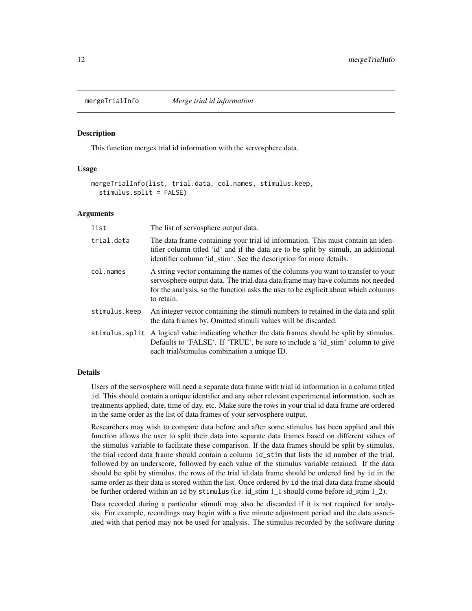<span id="page-11-0"></span>

#### Description

This function merges trial id information with the servosphere data.

#### Usage

```
mergeTrialInfo(list, trial.data, col.names, stimulus.keep,
  stimulus.split = FALSE)
```
#### Arguments

| list          | The list of servosphere output data.                                                                                                                                                                                                                                   |
|---------------|------------------------------------------------------------------------------------------------------------------------------------------------------------------------------------------------------------------------------------------------------------------------|
| trial.data    | The data frame containing your trial id information. This must contain an iden-<br>tifier column titled 'id' and if the data are to be split by stimuli, an additional<br>identifier column 'id_stim'. See the description for more details.                           |
| col.names     | A string vector containing the names of the columns you want to transfer to your<br>servosphere output data. The trial data data frame may have columns not needed<br>for the analysis, so the function asks the user to be explicit about which columns<br>to retain. |
| stimulus.keep | An integer vector containing the stimuli numbers to retained in the data and split<br>the data frames by. Omitted stimuli values will be discarded.                                                                                                                    |
|               | stimulus split A logical value indicating whether the data frames should be split by stimulus.<br>Defaults to 'FALSE'. If 'TRUE', be sure to include a 'id_stim' column to give<br>each trial/stimulus combination a unique ID.                                        |

#### Details

Users of the servosphere will need a separate data frame with trial id information in a column titled id. This should contain a unique identifier and any other relevant experimental information, such as treatments applied, date, time of day, etc. Make sure the rows in your trial id data frame are ordered in the same order as the list of data frames of your servosphere output.

Researchers may wish to compare data before and after some stimulus has been applied and this function allows the user to split their data into separate data frames based on different values of the stimulus variable to facilitate these comparison. If the data frames should be split by stimulus, the trial record data frame should contain a column id\_stim that lists the id number of the trial, followed by an underscore, followed by each value of the stimulus variable retained. If the data should be split by stimulus, the rows of the trial id data frame should be ordered first by id in the same order as their data is stored within the list. Once ordered by id the trial data data frame should be further ordered within an id by stimulus (i.e. id\_stim 1\_1 should come before id\_stim 1\_2).

Data recorded during a particular stimuli may also be discarded if it is not required for analysis. For example, recordings may begin with a five minute adjustment period and the data associated with that period may not be used for analysis. The stimulus recorded by the software during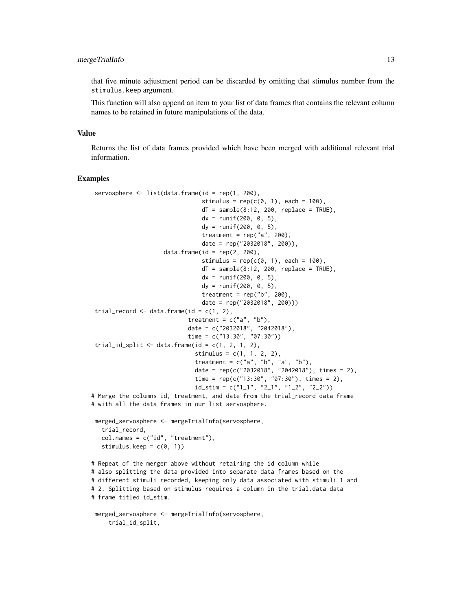#### mergeTrialInfo 13

that five minute adjustment period can be discarded by omitting that stimulus number from the stimulus.keep argument.

This function will also append an item to your list of data frames that contains the relevant column names to be retained in future manipulations of the data.

#### Value

Returns the list of data frames provided which have been merged with additional relevant trial information.

#### Examples

trial\_id\_split,

```
servosphere \leq list(data.frame(id = rep(1, 200),
                                stimulus = rep(c(0, 1), each = 100),
                                dT = sample(8:12, 200, replace = TRUE),dx = runif(200, 0, 5),
                                dy = runif(200, 0, 5),
                                treatment = rep("a", 200),
                                date = rep("2032018", 200)),
                     data.frame(id = rep(2, 200),
                                stimulus = rep(c(\emptyset, 1), each = 100),
                                dT = sample(8:12, 200, replace = TRUE),dx = runif(200, 0, 5),
                                dy = runif(200, 0, 5),treatment = rep("b", 200)date = rep("2032018", 200)))
 trial_record \leq data.frame(id = c(1, 2),
                            treatment = c("a", "b"),
                            date = c("2032018", "2042018"),
                            time = c("13:30", "07:30")trial_id_split \leq data.frame(id = c(1, 2, 1, 2),
                              stimulus = c(1, 1, 2, 2),
                              treatment = c("a", "b", "a", "b"),
                              date = rep(c("2032018", "2042018"), times = 2),
                              time = rep(c("13:30", "07:30"), times = 2),id\_stim = c("1_1", "2_1", "1_2", "2_2"))# Merge the columns id, treatment, and date from the trial_record data frame
# with all the data frames in our list servosphere.
merged_servosphere <- mergeTrialInfo(servosphere,
   trial_record,
   col.name = c("id", "treatment"),stimulus.keep = c(0, 1))
# Repeat of the merger above without retaining the id column while
# also splitting the data provided into separate data frames based on the
# different stimuli recorded, keeping only data associated with stimuli 1 and
# 2. Splitting based on stimulus requires a column in the trial.data data
# frame titled id_stim.
merged_servosphere <- mergeTrialInfo(servosphere,
```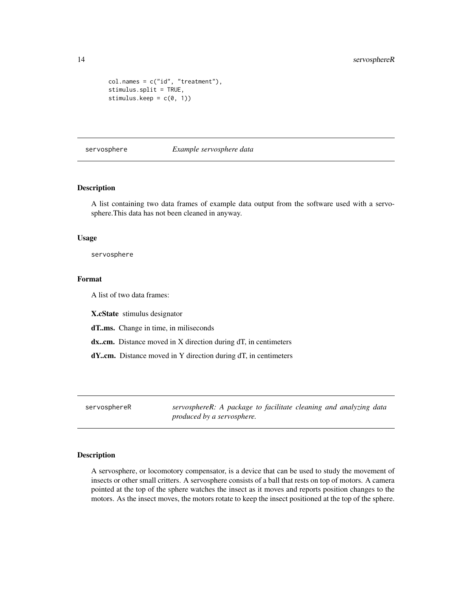```
col.name = c("id", "treatment"),stimulus.split = TRUE,
stimulus.keep = c(0, 1))
```
servosphere *Example servosphere data*

#### Description

A list containing two data frames of example data output from the software used with a servosphere.This data has not been cleaned in anyway.

#### Usage

servosphere

#### Format

A list of two data frames:

X.cState stimulus designator

dT..ms. Change in time, in miliseconds

dx..cm. Distance moved in X direction during dT, in centimeters

dY..cm. Distance moved in Y direction during dT, in centimeters

servosphereR *servosphereR: A package to facilitate cleaning and analyzing data produced by a servosphere.*

#### Description

A servosphere, or locomotory compensator, is a device that can be used to study the movement of insects or other small critters. A servosphere consists of a ball that rests on top of motors. A camera pointed at the top of the sphere watches the insect as it moves and reports position changes to the motors. As the insect moves, the motors rotate to keep the insect positioned at the top of the sphere.

<span id="page-13-0"></span>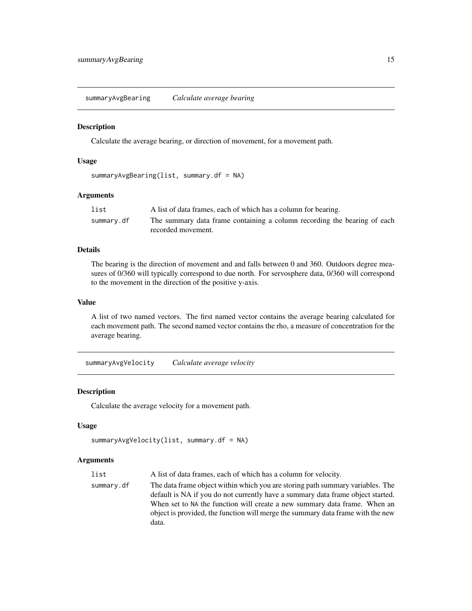<span id="page-14-0"></span>summaryAvgBearing *Calculate average bearing*

#### Description

Calculate the average bearing, or direction of movement, for a movement path.

#### Usage

```
summaryAvgBearing(list, summary.df = NA)
```
### Arguments

| list       | A list of data frames, each of which has a column for bearing.           |
|------------|--------------------------------------------------------------------------|
| summary.df | The summary data frame containing a column recording the bearing of each |
|            | recorded movement.                                                       |

#### Details

The bearing is the direction of movement and and falls between 0 and 360. Outdoors degree measures of 0/360 will typically correspond to due north. For servosphere data, 0/360 will correspond to the movement in the direction of the positive y-axis.

#### Value

A list of two named vectors. The first named vector contains the average bearing calculated for each movement path. The second named vector contains the rho, a measure of concentration for the average bearing.

summaryAvgVelocity *Calculate average velocity*

#### Description

Calculate the average velocity for a movement path.

#### Usage

```
summaryAvgVelocity(list, summary.df = NA)
```
#### **Arguments**

| list       | A list of data frames, each of which has a column for velocity.                 |
|------------|---------------------------------------------------------------------------------|
| summary.df | The data frame object within which you are storing path summary variables. The  |
|            | default is NA if you do not currently have a summary data frame object started. |
|            | When set to NA the function will create a new summary data frame. When an       |
|            | object is provided, the function will merge the summary data frame with the new |
|            | data.                                                                           |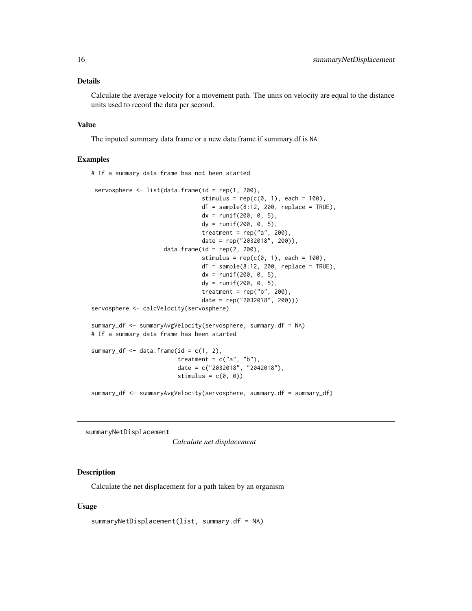#### <span id="page-15-0"></span>Details

Calculate the average velocity for a movement path. The units on velocity are equal to the distance units used to record the data per second.

#### Value

The inputed summary data frame or a new data frame if summary.df is NA

# If a summary data frame has not been started

#### Examples

servosphere <- list(data.frame(id = rep(1, 200), stimulus =  $rep(c(\emptyset, 1), each = 100)$ ,  $dT = sample(8:12, 200, replace = TRUE),$  $dx = runif(200, 0, 5)$ , dy = runif(200, 0, 5), treatment =  $rep("a", 200)$ date = rep("2032018", 200)),  $data.f$ rame $(id = rep(2, 200),$ stimulus =  $rep(c(0, 1), each = 100)$ ,  $dT = sample(8:12, 200, replace = TRUE),$  $dx = runif(200, 0, 5),$  $dy = runif(200, 0, 5),$ treatment =  $rep("b", 200)$ , date = rep("2032018", 200))) servosphere <- calcVelocity(servosphere) summary\_df <- summaryAvgVelocity(servosphere, summary.df = NA) # If a summary data frame has been started summary\_df  $\leq$  data.frame(id = c(1, 2), treatment =  $c("a", "b")$ , date = c("2032018", "2042018"), stimulus =  $c(\emptyset, \emptyset)$ summary\_df <- summaryAvgVelocity(servosphere, summary.df = summary\_df)

summaryNetDisplacement

*Calculate net displacement*

#### **Description**

Calculate the net displacement for a path taken by an organism

#### Usage

```
summaryNetDisplacement(list, summary.df = NA)
```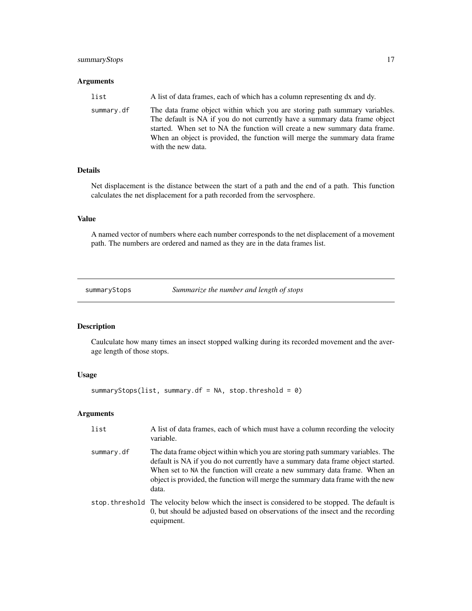#### <span id="page-16-0"></span>summaryStops 17

#### Arguments

| list       | A list of data frames, each of which has a column representing dx and dy.                                                                                                                                                                                                                                                                  |
|------------|--------------------------------------------------------------------------------------------------------------------------------------------------------------------------------------------------------------------------------------------------------------------------------------------------------------------------------------------|
| summary.df | The data frame object within which you are storing path summary variables.<br>The default is NA if you do not currently have a summary data frame object<br>started. When set to NA the function will create a new summary data frame.<br>When an object is provided, the function will merge the summary data frame<br>with the new data. |

### Details

Net displacement is the distance between the start of a path and the end of a path. This function calculates the net displacement for a path recorded from the servosphere.

#### Value

A named vector of numbers where each number corresponds to the net displacement of a movement path. The numbers are ordered and named as they are in the data frames list.

summaryStops *Summarize the number and length of stops*

#### Description

Caulculate how many times an insect stopped walking during its recorded movement and the average length of those stops.

#### Usage

summaryStops(list, summary.df = NA, stop.threshold = 0)

#### Arguments

| list       | A list of data frames, each of which must have a column recording the velocity<br>variable.                                                                                                                                                                                                                                                |
|------------|--------------------------------------------------------------------------------------------------------------------------------------------------------------------------------------------------------------------------------------------------------------------------------------------------------------------------------------------|
| summary.df | The data frame object within which you are storing path summary variables. The<br>default is NA if you do not currently have a summary data frame object started.<br>When set to NA the function will create a new summary data frame. When an<br>object is provided, the function will merge the summary data frame with the new<br>data. |
|            | stop threshold The velocity below which the insect is considered to be stopped. The default is<br>0, but should be adjusted based on observations of the insect and the recording<br>equipment.                                                                                                                                            |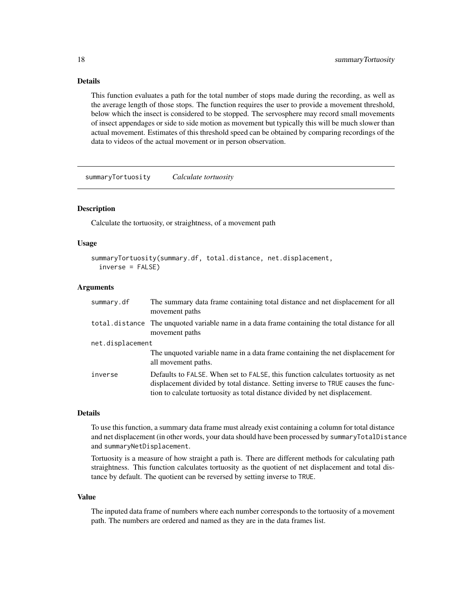### <span id="page-17-0"></span>Details

This function evaluates a path for the total number of stops made during the recording, as well as the average length of those stops. The function requires the user to provide a movement threshold, below which the insect is considered to be stopped. The servosphere may record small movements of insect appendages or side to side motion as movement but typically this will be much slower than actual movement. Estimates of this threshold speed can be obtained by comparing recordings of the data to videos of the actual movement or in person observation.

summaryTortuosity *Calculate tortuosity*

#### **Description**

Calculate the tortuosity, or straightness, of a movement path

#### Usage

```
summaryTortuosity(summary.df, total.distance, net.displacement,
  inverse = FALSE)
```
#### Arguments

| summary.df       | The summary data frame containing total distance and net displacement for all<br>movement paths                                                                                                                                                     |  |
|------------------|-----------------------------------------------------------------------------------------------------------------------------------------------------------------------------------------------------------------------------------------------------|--|
|                  | total distance The unquoted variable name in a data frame containing the total distance for all<br>movement paths                                                                                                                                   |  |
| net.displacement |                                                                                                                                                                                                                                                     |  |
|                  | The unquoted variable name in a data frame containing the net displacement for<br>all movement paths.                                                                                                                                               |  |
| inverse          | Defaults to FALSE. When set to FALSE, this function calculates tortuosity as net<br>displacement divided by total distance. Setting inverse to TRUE causes the func-<br>tion to calculate tortuosity as total distance divided by net displacement. |  |

#### Details

To use this function, a summary data frame must already exist containing a column for total distance and net displacement (in other words, your data should have been processed by summaryTotalDistance and summaryNetDisplacement.

Tortuosity is a measure of how straight a path is. There are different methods for calculating path straightness. This function calculates tortuosity as the quotient of net displacement and total distance by default. The quotient can be reversed by setting inverse to TRUE.

#### Value

The inputed data frame of numbers where each number corresponds to the tortuosity of a movement path. The numbers are ordered and named as they are in the data frames list.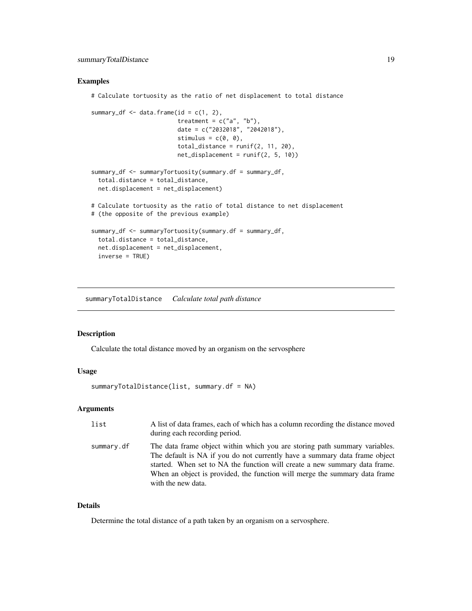#### <span id="page-18-0"></span>Examples

# Calculate tortuosity as the ratio of net displacement to total distance

```
summary_df \leq data.frame(id = c(1, 2),
                         treatment = c("a", "b"),date = c("2032018", "2042018"),
                         stimulus = c(\emptyset, \emptyset),
                         total_distance = runif(2, 11, 20),
                         net\_displacement = runif(2, 5, 10)summary_df <- summaryTortuosity(summary.df = summary_df,
 total.distance = total_distance,
 net.displacement = net_displacement)
# Calculate tortuosity as the ratio of total distance to net displacement
# (the opposite of the previous example)
summary_df <- summaryTortuosity(summary.df = summary_df,
 total.distance = total_distance,
 net.displacement = net_displacement,
 inverse = TRUE)
```
summaryTotalDistance *Calculate total path distance*

#### Description

Calculate the total distance moved by an organism on the servosphere

#### Usage

```
summaryTotalDistance(list, summary.df = NA)
```
#### Arguments

| list       | A list of data frames, each of which has a column recording the distance moved<br>during each recording period.                                                                                                                                                                                                                            |
|------------|--------------------------------------------------------------------------------------------------------------------------------------------------------------------------------------------------------------------------------------------------------------------------------------------------------------------------------------------|
| summary.df | The data frame object within which you are storing path summary variables.<br>The default is NA if you do not currently have a summary data frame object<br>started. When set to NA the function will create a new summary data frame.<br>When an object is provided, the function will merge the summary data frame<br>with the new data. |

#### Details

Determine the total distance of a path taken by an organism on a servosphere.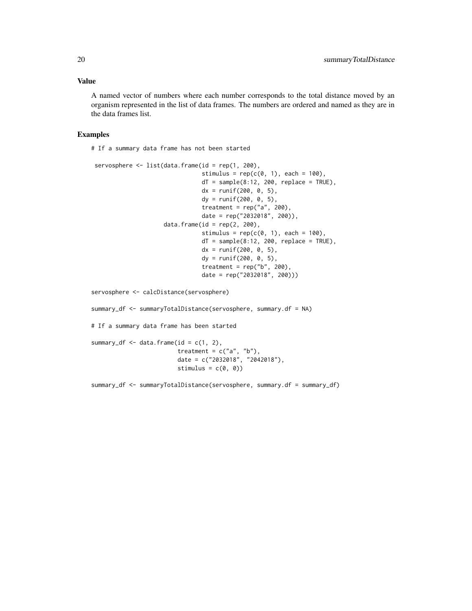#### Value

A named vector of numbers where each number corresponds to the total distance moved by an organism represented in the list of data frames. The numbers are ordered and named as they are in the data frames list.

#### Examples

# If a summary data frame has not been started

```
servosphere <- list(data.frame(id = rep(1, 200),
                                stimulus = rep(c(0, 1), each = 100),
                                dT = sample(8:12, 200, replace = TRUE),dx = runif(200, 0, 5),dy = runif(200, 0, 5),treatment = rep("a", 200),
                                date = rep("2032018", 200)),
                     data.frame(id = rep(2, 200),stimulus = rep(c(\emptyset, 1), each = 100),
                                dT = sample(8:12, 200, replace = TRUE),dx = runif(200, 0, 5),dy = runif(200, 0, 5),treatment = rep("b", 200),
                                date = rep("2032018", 200)))
servosphere <- calcDistance(servosphere)
```
summary\_df <- summaryTotalDistance(servosphere, summary.df = NA)

treatment =  $c("a", "b"),$ date = c("2032018", "2042018"),

stimulus =  $c(\emptyset, \emptyset)$ 

summary\_df <- summaryTotalDistance(servosphere, summary.df = summary\_df)

# If a summary data frame has been started

summary\_df  $\leq$  data.frame(id = c(1, 2),